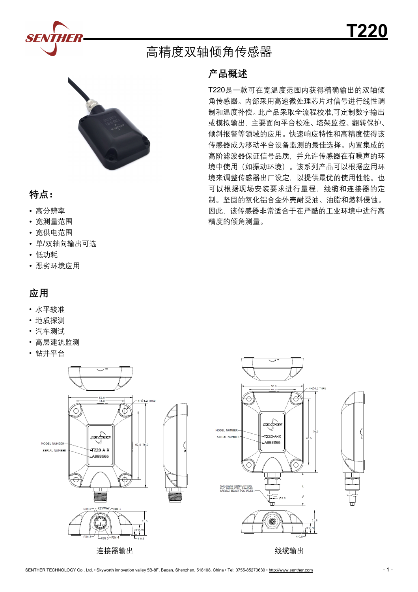



### **特点:**

- 高分辨率
- 宽测量范围
- 宽供电范围
- 单/双轴向输出可选
- 低功耗
- 恶劣环境应用

# **应用**

- 水平较准
- 地质探测
- 汽车测试
- 高层建筑监测
- 钻井平台



连接器输出

### **产品概述**

高精度双轴倾角传感器

T220是一款可在宽温度范围内获得精确输出的双轴倾 角传感器。内部采用高速微处理芯片对信号进行线性调 制和温度补偿。此产品采取全流程校准,可定制数字输出 或模拟输出,主要面向平台校准、塔架监控、翻转保护、 倾斜报警等领域的应用。快速响应特性和高精度使得该 传感器成为移动平台设备监测的最佳选择。内置集成的 高阶滤波器保证信号品质,并允许传感器在有噪声的环 境中使用(如振动环境)。该系列产品可以根据应用环 境来调整传感器出厂设定,以提供最优的使用性能。也 可以根据现场安装要求进行量程,线缆和连接器的定 制。坚固的氧化铝合金外壳耐受油、油脂和燃料侵蚀。 因此,该传感器非常适合于在严酷的工业环境中进行高 精度的倾角测量。



SENTHER TECHNOLOGY Co., Ltd. • Skyworth innovation valley 5B-8F, Baoan, Shenzhen, 518108, China • Tel: 0755-85273639 • <http://www.senther.com> - 1 - 1 -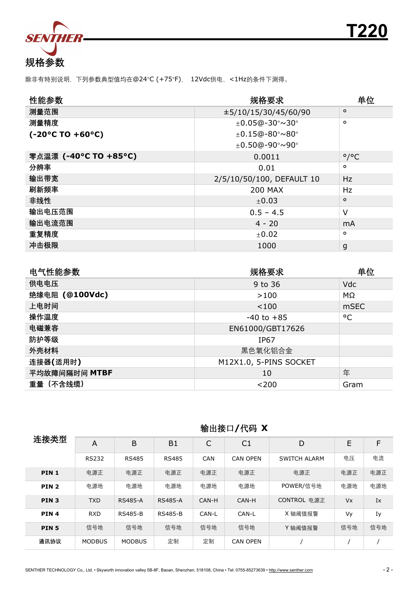

除非有特别说明,下列参数典型值均在@24°C (+75°F), 12Vdc供电,<1Hz的条件下测得。

| 性能参数                                  | 规格要求                      | 单位                        |
|---------------------------------------|---------------------------|---------------------------|
| 测量范围                                  | ±5/10/15/30/45/60/90      | $\circ$                   |
| 测量精度                                  | $±0.05@-30°\sim30°$       | $\circ$                   |
| $(-20^{\circ}$ C TO +60 $^{\circ}$ C) | $±0.15@-80°\sim80°$       |                           |
|                                       | $±0.50@-90°\sim90°$       |                           |
| 零点温漂 (-40°C TO +85°C)                 | 0.0011                    | $^{\circ}$ / $^{\circ}$ C |
| 分辨率                                   | 0.01                      | $\circ$                   |
| 输出带宽                                  | 2/5/10/50/100, DEFAULT 10 | Hz                        |
| 刷新频率                                  | <b>200 MAX</b>            | Hz.                       |
| 非线性                                   | $\pm 0.03$                | $\circ$                   |
| 输出电压范围                                | $0.5 - 4.5$               | V                         |
| 输出电流范围                                | $4 - 20$                  | mA                        |
| 重复精度                                  | ±0.02                     | $\circ$                   |
| 冲击极限                                  | 1000                      | g                         |

| 电气性能参数         | 规格要求                   | 单位          |
|----------------|------------------------|-------------|
| 供电电压           | 9 to 36                | Vdc         |
| 绝缘电阻 (@100Vdc) | >100                   | MΩ          |
| 上电时间           | < 100                  | <b>mSEC</b> |
| 操作温度           | $-40$ to $+85$         | °C          |
| 电磁兼容           | EN61000/GBT17626       |             |
| 防护等级           | <b>IP67</b>            |             |
| 外壳材料           | 黑色氧化铝合金                |             |
| 连接器(适用时)       | M12X1.0, 5-PINS SOCKET |             |
| 平均故障间隔时间 MTBF  | 10                     | 年           |
| 重量 (不含线缆)      | $<$ 200                | Gram        |

| 连接类型             | A             | B              | <b>B1</b>      | C          | C1              | D            | E                    | F   |
|------------------|---------------|----------------|----------------|------------|-----------------|--------------|----------------------|-----|
|                  | <b>RS232</b>  | <b>RS485</b>   | <b>RS485</b>   | <b>CAN</b> | <b>CAN OPEN</b> | SWITCH ALARM | 电压                   | 电流  |
| PIN <sub>1</sub> | 电源正           | 电源正            | 电源正            | 电源正        | 电源正             | 电源正          | 电源正                  | 电源正 |
| PIN <sub>2</sub> | 电源地           | 电源地            | 电源地            | 电源地        | 电源地             | POWER/信号地    | 电源地                  | 电源地 |
| PIN <sub>3</sub> | <b>TXD</b>    | <b>RS485-A</b> | <b>RS485-A</b> | CAN-H      | CAN-H           | CONTROL 电源正  | <b>V<sub>x</sub></b> | Ix  |
| PIN <sub>4</sub> | <b>RXD</b>    | <b>RS485-B</b> | <b>RS485-B</b> | CAN-L      | CAN-L           | X 轴阈值报警      | Vy                   | Iy  |
| PIN <sub>5</sub> | 信号地           | 信号地            | 信号地            | 信号地        | 信号地             | Y轴阈值报警       | 信号地                  | 信号地 |
| 通讯协议             | <b>MODBUS</b> | <b>MODBUS</b>  | 定制             | 定制         | <b>CAN OPEN</b> |              |                      |     |

# 输出接口**/**代码 **X**